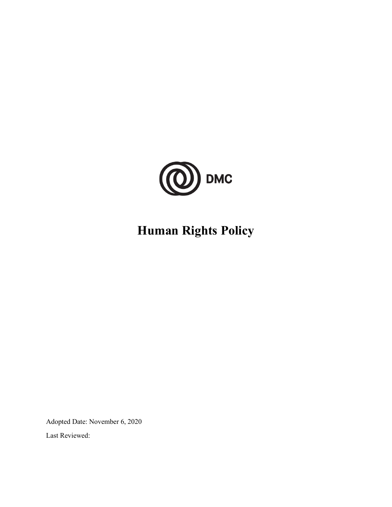

# **Human Rights Policy**

Adopted Date: November 6, 2020

Last Reviewed: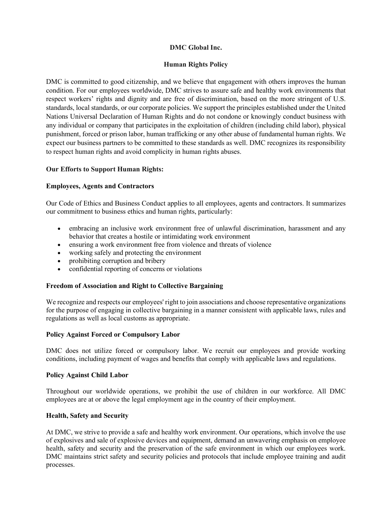# **DMC Global Inc.**

# **Human Rights Policy**

DMC is committed to good citizenship, and we believe that engagement with others improves the human condition. For our employees worldwide, DMC strives to assure safe and healthy work environments that respect workers' rights and dignity and are free of discrimination, based on the more stringent of U.S. standards, local standards, or our corporate policies. We support the principles established under the United Nations Universal Declaration of Human Rights and do not condone or knowingly conduct business with any individual or company that participates in the exploitation of children (including child labor), physical punishment, forced or prison labor, human trafficking or any other abuse of fundamental human rights. We expect our business partners to be committed to these standards as well. DMC recognizes its responsibility to respect human rights and avoid complicity in human rights abuses.

### **Our Efforts to Support Human Rights:**

#### **Employees, Agents and Contractors**

Our Code of Ethics and Business Conduct applies to all employees, agents and contractors. It summarizes our commitment to business ethics and human rights, particularly:

- embracing an inclusive work environment free of unlawful discrimination, harassment and any behavior that creates a hostile or intimidating work environment
- ensuring a work environment free from violence and threats of violence
- working safely and protecting the environment
- prohibiting corruption and bribery
- confidential reporting of concerns or violations

### **Freedom of Association and Right to Collective Bargaining**

We recognize and respects our employees' right to join associations and choose representative organizations for the purpose of engaging in collective bargaining in a manner consistent with applicable laws, rules and regulations as well as local customs as appropriate.

### **Policy Against Forced or Compulsory Labor**

DMC does not utilize forced or compulsory labor. We recruit our employees and provide working conditions, including payment of wages and benefits that comply with applicable laws and regulations.

### **Policy Against Child Labor**

Throughout our worldwide operations, we prohibit the use of children in our workforce. All DMC employees are at or above the legal employment age in the country of their employment.

### **Health, Safety and Security**

At DMC, we strive to provide a safe and healthy work environment. Our operations, which involve the use of explosives and sale of explosive devices and equipment, demand an unwavering emphasis on employee health, safety and security and the preservation of the safe environment in which our employees work. DMC maintains strict safety and security policies and protocols that include employee training and audit processes.